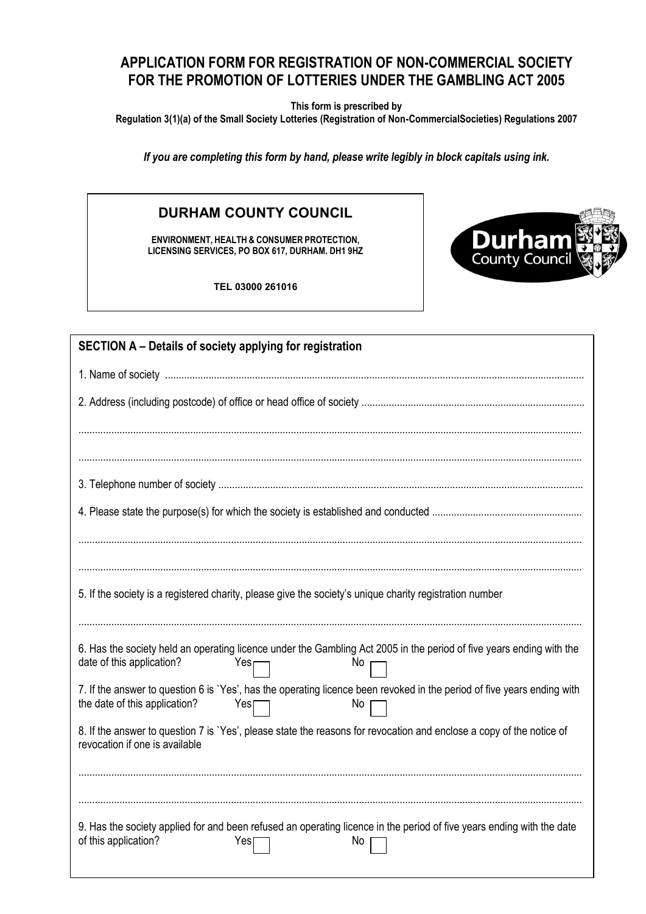## **APPLICATION FORM FOR REGISTRATION OF NON-COMMERCIAL SOCIETY FOR THE PROMOTION OF LOTTERIES UNDER THE GAMBLING ACT 2005**

**This form is prescribed by** 

**Regulation 3(1)(a) of the Small Society Lotteries (Registration of Non-CommercialSocieties) Regulations 2007**

*If you are completing this form by hand, please write legibly in block capitals using ink.*

## **DURHAM COUNTY COUNCIL**

**ENVIRONMENT, HEALTH & CONSUMER PROTECTION, LICENSING SERVICES, PO BOX 617, DURHAM. DH1 9HZ**

**TEL 03000 261016**



| SECTION A – Details of society applying for registration                                                                                                              |  |  |
|-----------------------------------------------------------------------------------------------------------------------------------------------------------------------|--|--|
|                                                                                                                                                                       |  |  |
|                                                                                                                                                                       |  |  |
|                                                                                                                                                                       |  |  |
|                                                                                                                                                                       |  |  |
| 5. If the society is a registered charity, please give the society's unique charity registration number                                                               |  |  |
| 6. Has the society held an operating licence under the Gambling Act 2005 in the period of five years ending with the<br>date of this application?<br>Yes<br>No        |  |  |
| 7. If the answer to question 6 is `Yes', has the operating licence been revoked in the period of five years ending with<br>the date of this application?<br>No<br>Yes |  |  |
| 8. If the answer to question 7 is `Yes', please state the reasons for revocation and enclose a copy of the notice of<br>revocation if one is available                |  |  |
|                                                                                                                                                                       |  |  |
| 9. Has the society applied for and been refused an operating licence in the period of five years ending with the date<br>of this application?<br>No<br>Yes            |  |  |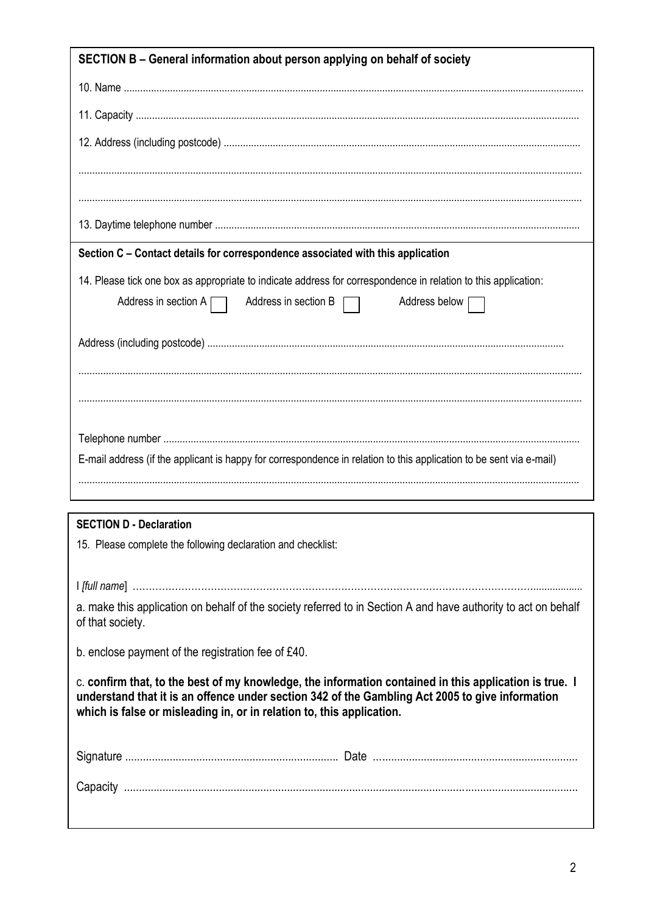| SECTION B – General information about person applying on behalf of society                                                                                                                                                                                                         |  |
|------------------------------------------------------------------------------------------------------------------------------------------------------------------------------------------------------------------------------------------------------------------------------------|--|
|                                                                                                                                                                                                                                                                                    |  |
|                                                                                                                                                                                                                                                                                    |  |
|                                                                                                                                                                                                                                                                                    |  |
|                                                                                                                                                                                                                                                                                    |  |
|                                                                                                                                                                                                                                                                                    |  |
|                                                                                                                                                                                                                                                                                    |  |
| Section C – Contact details for correspondence associated with this application                                                                                                                                                                                                    |  |
| 14. Please tick one box as appropriate to indicate address for correspondence in relation to this application:<br>Address in section B $\Box$<br>Address in section $A \Box$<br>Address below                                                                                      |  |
|                                                                                                                                                                                                                                                                                    |  |
|                                                                                                                                                                                                                                                                                    |  |
|                                                                                                                                                                                                                                                                                    |  |
|                                                                                                                                                                                                                                                                                    |  |
| E-mail address (if the applicant is happy for correspondence in relation to this application to be sent via e-mail)                                                                                                                                                                |  |
|                                                                                                                                                                                                                                                                                    |  |
|                                                                                                                                                                                                                                                                                    |  |
| <b>SECTION D - Declaration</b>                                                                                                                                                                                                                                                     |  |
| 15. Please complete the following declaration and checklist:                                                                                                                                                                                                                       |  |
|                                                                                                                                                                                                                                                                                    |  |
| a. make this application on behalf of the society referred to in Section A and have authority to act on behalf<br>of that society.                                                                                                                                                 |  |
| b. enclose payment of the registration fee of £40.                                                                                                                                                                                                                                 |  |
| c. confirm that, to the best of my knowledge, the information contained in this application is true. I<br>understand that it is an offence under section 342 of the Gambling Act 2005 to give information<br>which is false or misleading in, or in relation to, this application. |  |